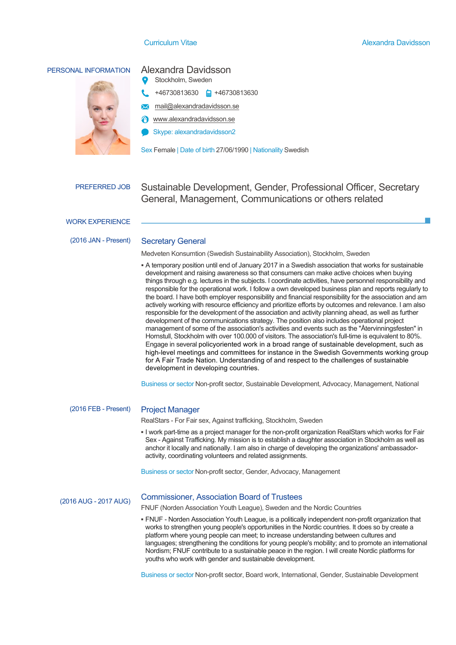# PERSONAL INFORMATION Alexandra Davidsson

- Stockholm, Sweden
- +46730813630 +46730813630
- mail@alexandradavidsson.se
- www.alexandradavidsson.se
- Skype: alexandradavidsson2

Sex Female | Date of birth 27/06/1990 | Nationality Swedish

PREFERRED JOB Sustainable Development, Gender, Professional Officer, Secretary General, Management, Communications or others related

WORK EXPERIENCE

# (2016 JAN - Present) Secretary General

Medveten Konsumtion (Swedish Sustainability Association), Stockholm, Sweden

**▪** A temporary position until end of January 2017 in a Swedish association that works for sustainable development and raising awareness so that consumers can make active choices when buying things through e.g. lectures in the subjects. I coordinate activities, have personnel responsibility and responsible for the operational work. I follow a own developed business plan and reports regularly to the board. I have both employer responsibility and financial responsibility for the association and am actively working with resource efficiency and prioritize efforts by outcomes and relevance. I am also responsible for the development of the association and activity planning ahead, as well as further development of the communications strategy. The position also includes operational project management of some of the association's activities and events such as the "Återvinningsfesten" in Hornstull, Stockholm with over 100.000 of visitors. The association's full-time is equivalent to 80%. Engage in several policyoriented work in a broad range of sustainable development, such as high-level meetings and committees for instance in the Swedish Governments working group for A Fair Trade Nation. Understanding of and respect to the challenges of sustainable development in developing countries.

Business or sector Non-profit sector, Sustainable Development, Advocacy, Management, National

# (2016 FEB - Present) Project Manager

RealStars - For Fair sex, Against trafficking, Stockholm, Sweden

**▪** I work part-time as a project manager for the non-profit organization RealStars which works for Fair Sex - Against Trafficking. My mission is to establish a daughter association in Stockholm as well as anchor it locally and nationally. I am also in charge of developing the organizations' ambassadoractivity, coordinating volunteers and related assignments.

Business or sector Non-profit sector, Gender, Advocacy, Management

# (2016 AUG - 2017 AUG) Process and Project Manager Commissioner, Association Board of Trustees

FNUF (Norden Association Youth League), Sweden and the Nordic Countries

Local Hero, Centralförbundet för alkohol och narkotika-upplysning, Sweden **▪** A one year assignment where I have undertaken professional training in process and project management. On average I work with adolescents nationally one weekend a month, where I help youths themselves to manage projects from start to finish. It also involves talking about the impacts of alcohol and drugs the participants. In your good of hosting, and to promote un international **▪** FNUF - Norden Association Youth League, is a politically independent non-profit organization that works to strengthen young people's opportunities in the Nordic countries. It does so by create a platform where young people can meet; to increase understanding between cultures and languages; strengthening the conditions for young people's mobility; and to promote an international

youths who work with gender and sustainable development.

Business or sector Non-profit sector, Board work, International, Gender, Sustainable Development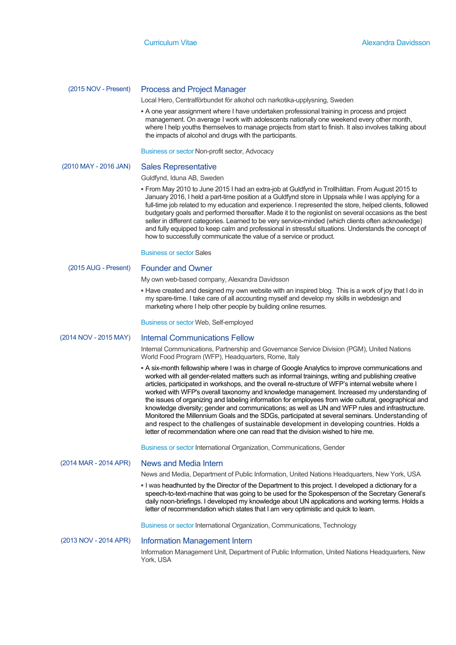# (2015 NOV - Present) Process and Project Manager

Local Hero, Centralförbundet för alkohol och narkotika-upplysning, Sweden

**▪** A one year assignment where I have undertaken professional training in process and project management. On average I work with adolescents nationally one weekend every other month, where I help youths themselves to manage projects from start to finish. It also involves talking about the impacts of alcohol and drugs with the participants.

Business or sector Non-profit sector, Advocacy

### (2010 MAY - 2016 JAN) Sales Representative

### Guldfynd, Iduna AB, Sweden

**▪** From May 2010 to June 2015 I had an extra-job at Guldfynd in Trollhättan. From August 2015 to January 2016, I held a part-time position at a Guldfynd store in Uppsala while I was applying for a full-time job related to my education and experience. I represented the store, helped clients, followed budgetary goals and performed thereafter. Made it to the regionlist on several occasions as the best seller in different categories. Learned to be very service-minded (which clients often acknowledge) and fully equipped to keep calm and professional in stressful situations. Understands the concept of how to successfully communicate the value of a service or product.

Business or sector Sales

### (2015 AUG - Present) Founder and Owner

My own web-based company, Alexandra Davidsson

**. Have created and designed my own website with an inspired blog. This is a work of joy that I do in** my spare-time. I take care of all accounting myself and develop my skills in webdesign and marketing where I help other people by building online resumes.

Business or sector Web, Self-employed

### (2014 NOV - 2015 MAY) Internal Communications Fellow

Internal Communications, Partnership and Governance Service Division (PGM), United Nations World Food Program (WFP), Headquarters, Rome, Italy

**<b>•** A six-month fellowship where I was in charge of Google Analytics to improve communications and worked with all gender-related matters such as informal trainings, writing and publishing creative articles, participated in workshops, and the overall re-structure of WFP's internal website where I worked with WFP's overall taxonomy and knowledge management. Increased my understanding of the issues of organizing and labeling information for employees from wide cultural, geographical and knowledge diversity; gender and communications; as well as UN and WFP rules and infrastructure. Monitored the Millennium Goals and the SDGs, participated at several seminars. Understanding of and respect to the challenges of sustainable development in developing countries. Holds a letter of recommendation where one can read that the division wished to hire me.

Business or sector International Organization, Communications, Gender

# (2014 MAR - 2014 APR) News and Media Intern

News and Media, Department of Public Information, United Nations Headquarters, New York, USA

**▪** I was headhunted by the Director of the Department to this project. I developed a dictionary for a speech-to-text-machine that was going to be used for the Spokesperson of the Secretary General's daily noon-briefings. I developed my knowledge about UN applications and working terms. Holds a letter of recommendation which states that I am very optimistic and quick to learn.

Business or sector International Organization, Communications, Technology

### (2013 NOV - 2014 APR) Information Management Intern

Information Management Unit, Department of Public Information, United Nations Headquarters, New York, USA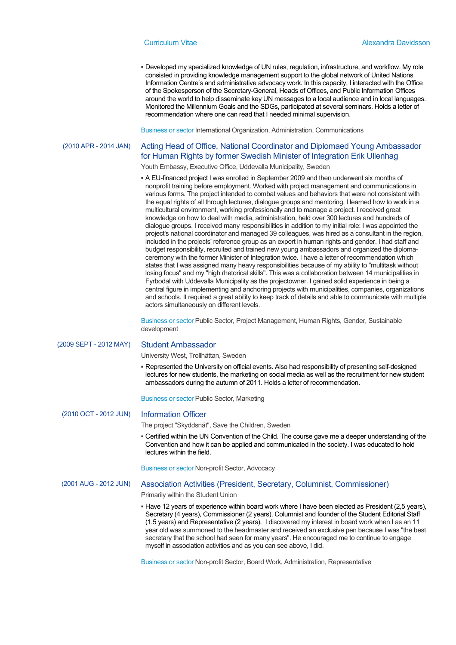**▪** Developed my specialized knowledge of UN rules, regulation, infrastructure, and workflow. My role consisted in providing knowledge management support to the global network of United Nations Information Centre's and administrative advocacy work. In this capacity, I interacted with the Office of the Spokesperson of the Secretary-General, Heads of Offices, and Public Information Offices around the world to help disseminate key UN messages to a local audience and in local languages. Monitored the Millennium Goals and the SDGs, participated at several seminars. Holds a letter of recommendation where one can read that I needed minimal supervision.

Business or sector International Organization, Administration, Communications

# (2010 APR - 2014 JAN) Acting Head of Office, National Coordinator and Diplomaed Young Ambassador for Human Rights by former Swedish Minister of Integration Erik Ullenhag

Youth Embassy, Executive Office, Uddevalla Municipality, Sweden

**▪** A EU-financed project I was enrolled in September 2009 and then underwent six months of nonprofit training before employment. Worked with project management and communications in various forms. The project intended to combat values and behaviors that were not consistent with the equal rights of all through lectures, dialogue groups and mentoring. I learned how to work in a multicultural environment, working professionally and to manage a project. I received great knowledge on how to deal with media, administration, held over 300 lectures and hundreds of dialogue groups. I received many responsibilities in addition to my initial role: I was appointed the project's national coordinator and managed 39 colleagues, was hired as a consultant in the region, included in the projects' reference group as an expert in human rights and gender. I had staff and budget responsibility, recruited and trained new young ambassadors and organized the diplomaceremony with the former Minister of Integration twice. I have a letter of recommendation which states that I was assigned many heavy responsibilities because of my ability to "multitask without losing focus" and my "high rhetorical skills". This was a collaboration between 14 municipalities in Fyrbodal with Uddevalla Municipality as the projectowner. I gained solid experience in being a central figure in implementing and anchoring projects with municipalities, companies, organizations and schools. It required a great ability to keep track of details and able to communicate with multiple actors simultaneously on different levels.

Business or sector Public Sector, Project Management, Human Rights, Gender, Sustainable development

### (2009 SEPT - 2012 MAY) Student Ambassador

University West, Trollhättan, Sweden

**▪** Represented the University on official events. Also had responsibility of presenting self-designed lectures for new students, the marketing on social media as well as the recruitment for new student ambassadors during the autumn of 2011. Holds a letter of recommendation.

Business or sector Public Sector, Marketing

# (2010 OCT - 2012 JUN) Information Officer

The project "Skyddsnät", Save the Children, Sweden

**▪** Certified within the UN Convention of the Child. The course gave me a deeper understanding of the Convention and how it can be applied and communicated in the society. I was educated to hold lectures within the field.

Business or sector Non-profit Sector, Advocacy

# (2001 AUG - 2012 JUN) Association Activities (President, Secretary, Columnist, Commissioner)

Primarily within the Student Union

**▪** Have 12 years of experience within board work where I have been elected as President (2,5 years), Secretary (4 years), Commissioner (2 years), Columnist and founder of the Student Editorial Staff (1,5 years) and Representative (2 years). I discovered my interest in board work when I as an 11 year old was summoned to the headmaster and received an exclusive pen because I was "the best secretary that the school had seen for many years". He encouraged me to continue to engage myself in association activities and as you can see above, I did.

Business or sector Non-profit Sector, Board Work, Administration, Representative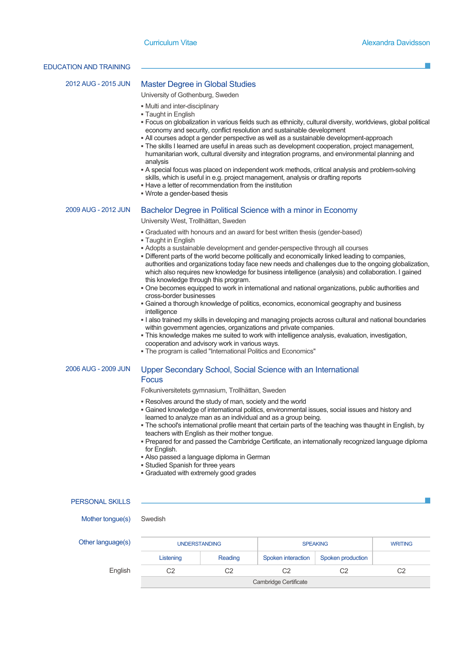### EDUCATION AND TRAINING

# 2012 AUG - 2015 JUN Master Degree in Global Studies

University of Gothenburg, Sweden

- **▪** Multi and inter-disciplinary
- **▪** Taught in English
- **▪** Focus on globalization in various fields such as ethnicity, cultural diversity, worldviews, global political economy and security, conflict resolution and sustainable development
- **▪** All courses adopt a gender perspective as well as a sustainable development-approach
- **▪** The skills I learned are useful in areas such as development cooperation, project management, humanitarian work, cultural diversity and integration programs, and environmental planning and analysis
- **▪** A special focus was placed on independent work methods, critical analysis and problem-solving skills, which is useful in e.g. project management, analysis or drafting reports
- **▪** Have a letter of recommendation from the institution
- **▪** Wrote a gender-based thesis

## 2009 AUG - 2012 JUN Bachelor Degree in Political Science with a minor in Economy

University West, Trollhättan, Sweden

- **▪** Graduated with honours and an award for best written thesis (gender-based)
- **▪** Taught in English
- **▪** Adopts a sustainable development and gender-perspective through all courses
- **Different parts of the world become politically and economically linked leading to companies,** authorities and organizations today face new needs and challenges due to the ongoing globalization, which also requires new knowledge for business intelligence (analysis) and collaboration. I gained this knowledge through this program.
- **▪** One becomes equipped to work in international and national organizations, public authorities and cross-border businesses
- **▪** Gained a thorough knowledge of politics, economics, economical geography and business intelligence
- **▪** I also trained my skills in developing and managing projects across cultural and national boundaries within government agencies, organizations and private companies.
- **▪** This knowledge makes me suited to work with intelligence analysis, evaluation, investigation, cooperation and advisory work in various ways.
- **▪** The program is called "International Politics and Economics"

# 2006 AUG - 2009 JUN Upper Secondary School, Social Science with an International Focus

Folkuniversitetets gymnasium, Trollhättan, Sweden

- **▪** Resolves around the study of man, society and the world
- **▪** Gained knowledge of international politics, environmental issues, social issues and history and learned to analyze man as an individual and as a group being.
- **▪** The school's international profile meant that certain parts of the teaching was thaught in English, by teachers with English as their mother tongue.
- **▪** Prepared for and passed the Cambridge Certificate, an internationally recognized language diploma for English.
- **▪** Also passed a language diploma in German
- **▪** Studied Spanish for three years
- **▪** Graduated with extremely good grades

# PERSONAL SKILLS

Mother tongue(s) Swedish

|  | Other language(s) |  |  |  |
|--|-------------------|--|--|--|
|  |                   |  |  |  |

| Other language(s) | <b>UNDERSTANDING</b> |         | <b>SPEAKING</b>       | <b>WRITING</b>    |    |
|-------------------|----------------------|---------|-----------------------|-------------------|----|
|                   | Listening            | Reading | Spoken interaction    | Spoken production |    |
| English           | Ο2                   | C2      | C2                    | C2                | C2 |
|                   |                      |         | Cambridge Certificate |                   |    |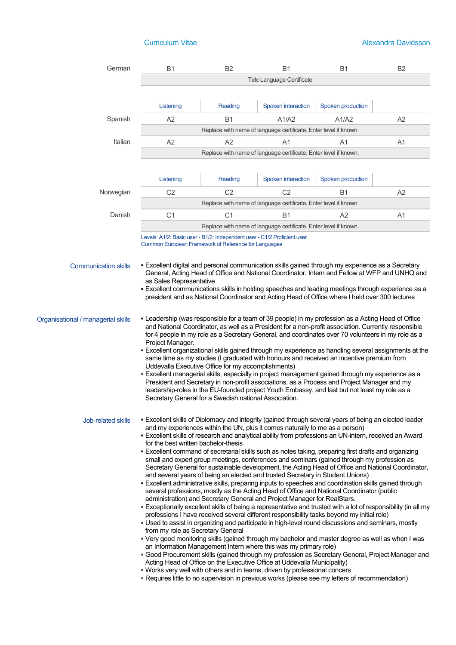| German                             | <b>B1</b>                                                                                                                                                                                                                                                                                                                                                                                                                                                                                                                                                                                                                                                                                                                                                                                                                                                                                                                                                                                                                                                                                                                                                                                                                                                                                                                                                                                                                                                                                                                                                                                                                                                                                                                                                                                                                                                                                                                                     | B <sub>2</sub> | <b>B1</b>                                                        | <b>B1</b>         | B <sub>2</sub> |  |  |
|------------------------------------|-----------------------------------------------------------------------------------------------------------------------------------------------------------------------------------------------------------------------------------------------------------------------------------------------------------------------------------------------------------------------------------------------------------------------------------------------------------------------------------------------------------------------------------------------------------------------------------------------------------------------------------------------------------------------------------------------------------------------------------------------------------------------------------------------------------------------------------------------------------------------------------------------------------------------------------------------------------------------------------------------------------------------------------------------------------------------------------------------------------------------------------------------------------------------------------------------------------------------------------------------------------------------------------------------------------------------------------------------------------------------------------------------------------------------------------------------------------------------------------------------------------------------------------------------------------------------------------------------------------------------------------------------------------------------------------------------------------------------------------------------------------------------------------------------------------------------------------------------------------------------------------------------------------------------------------------------|----------------|------------------------------------------------------------------|-------------------|----------------|--|--|
|                                    | Telc Language Certificate                                                                                                                                                                                                                                                                                                                                                                                                                                                                                                                                                                                                                                                                                                                                                                                                                                                                                                                                                                                                                                                                                                                                                                                                                                                                                                                                                                                                                                                                                                                                                                                                                                                                                                                                                                                                                                                                                                                     |                |                                                                  |                   |                |  |  |
|                                    |                                                                                                                                                                                                                                                                                                                                                                                                                                                                                                                                                                                                                                                                                                                                                                                                                                                                                                                                                                                                                                                                                                                                                                                                                                                                                                                                                                                                                                                                                                                                                                                                                                                                                                                                                                                                                                                                                                                                               |                |                                                                  |                   |                |  |  |
|                                    | Listening                                                                                                                                                                                                                                                                                                                                                                                                                                                                                                                                                                                                                                                                                                                                                                                                                                                                                                                                                                                                                                                                                                                                                                                                                                                                                                                                                                                                                                                                                                                                                                                                                                                                                                                                                                                                                                                                                                                                     | Reading        | Spoken interaction                                               | Spoken production |                |  |  |
| Spanish                            | A2                                                                                                                                                                                                                                                                                                                                                                                                                                                                                                                                                                                                                                                                                                                                                                                                                                                                                                                                                                                                                                                                                                                                                                                                                                                                                                                                                                                                                                                                                                                                                                                                                                                                                                                                                                                                                                                                                                                                            | <b>B1</b>      | A1/A2                                                            | A1/A2             | A2             |  |  |
|                                    |                                                                                                                                                                                                                                                                                                                                                                                                                                                                                                                                                                                                                                                                                                                                                                                                                                                                                                                                                                                                                                                                                                                                                                                                                                                                                                                                                                                                                                                                                                                                                                                                                                                                                                                                                                                                                                                                                                                                               |                | Replace with name of language certificate. Enter level if known. |                   |                |  |  |
| Italian                            | A2                                                                                                                                                                                                                                                                                                                                                                                                                                                                                                                                                                                                                                                                                                                                                                                                                                                                                                                                                                                                                                                                                                                                                                                                                                                                                                                                                                                                                                                                                                                                                                                                                                                                                                                                                                                                                                                                                                                                            | A2             | A1                                                               | A1                | A1             |  |  |
|                                    |                                                                                                                                                                                                                                                                                                                                                                                                                                                                                                                                                                                                                                                                                                                                                                                                                                                                                                                                                                                                                                                                                                                                                                                                                                                                                                                                                                                                                                                                                                                                                                                                                                                                                                                                                                                                                                                                                                                                               |                | Replace with name of language certificate. Enter level if known. |                   |                |  |  |
|                                    |                                                                                                                                                                                                                                                                                                                                                                                                                                                                                                                                                                                                                                                                                                                                                                                                                                                                                                                                                                                                                                                                                                                                                                                                                                                                                                                                                                                                                                                                                                                                                                                                                                                                                                                                                                                                                                                                                                                                               |                |                                                                  |                   |                |  |  |
|                                    | Listening                                                                                                                                                                                                                                                                                                                                                                                                                                                                                                                                                                                                                                                                                                                                                                                                                                                                                                                                                                                                                                                                                                                                                                                                                                                                                                                                                                                                                                                                                                                                                                                                                                                                                                                                                                                                                                                                                                                                     | Reading        | Spoken interaction                                               | Spoken production |                |  |  |
| Norwegian                          | C <sub>2</sub>                                                                                                                                                                                                                                                                                                                                                                                                                                                                                                                                                                                                                                                                                                                                                                                                                                                                                                                                                                                                                                                                                                                                                                                                                                                                                                                                                                                                                                                                                                                                                                                                                                                                                                                                                                                                                                                                                                                                | C <sub>2</sub> | C <sub>2</sub>                                                   | <b>B1</b>         | A2             |  |  |
|                                    |                                                                                                                                                                                                                                                                                                                                                                                                                                                                                                                                                                                                                                                                                                                                                                                                                                                                                                                                                                                                                                                                                                                                                                                                                                                                                                                                                                                                                                                                                                                                                                                                                                                                                                                                                                                                                                                                                                                                               |                | Replace with name of language certificate. Enter level if known. |                   |                |  |  |
| Danish                             | C <sub>1</sub>                                                                                                                                                                                                                                                                                                                                                                                                                                                                                                                                                                                                                                                                                                                                                                                                                                                                                                                                                                                                                                                                                                                                                                                                                                                                                                                                                                                                                                                                                                                                                                                                                                                                                                                                                                                                                                                                                                                                | C <sub>1</sub> | Β1                                                               | A2                | A <sub>1</sub> |  |  |
|                                    | Replace with name of language certificate. Enter level if known.                                                                                                                                                                                                                                                                                                                                                                                                                                                                                                                                                                                                                                                                                                                                                                                                                                                                                                                                                                                                                                                                                                                                                                                                                                                                                                                                                                                                                                                                                                                                                                                                                                                                                                                                                                                                                                                                              |                |                                                                  |                   |                |  |  |
|                                    | Levels: A1/2: Basic user - B1/2: Independent user - C1/2 Proficient user<br>Common European Framework of Reference for Languages                                                                                                                                                                                                                                                                                                                                                                                                                                                                                                                                                                                                                                                                                                                                                                                                                                                                                                                                                                                                                                                                                                                                                                                                                                                                                                                                                                                                                                                                                                                                                                                                                                                                                                                                                                                                              |                |                                                                  |                   |                |  |  |
|                                    |                                                                                                                                                                                                                                                                                                                                                                                                                                                                                                                                                                                                                                                                                                                                                                                                                                                                                                                                                                                                                                                                                                                                                                                                                                                                                                                                                                                                                                                                                                                                                                                                                                                                                                                                                                                                                                                                                                                                               |                |                                                                  |                   |                |  |  |
| <b>Communication skills</b>        | . Excellent digital and personal communication skills gained through my experience as a Secretary<br>General, Acting Head of Office and National Coordinator, Intern and Fellow at WFP and UNHQ and<br>as Sales Representative<br><b>Excellent communications skills in holding speeches and leading meetings through experience as a</b><br>president and as National Coordinator and Acting Head of Office where I held over 300 lectures                                                                                                                                                                                                                                                                                                                                                                                                                                                                                                                                                                                                                                                                                                                                                                                                                                                                                                                                                                                                                                                                                                                                                                                                                                                                                                                                                                                                                                                                                                   |                |                                                                  |                   |                |  |  |
| Organisational / managerial skills | - Leadership (was responsible for a team of 39 people) in my profession as a Acting Head of Office<br>and National Coordinator, as well as a President for a non-profit association. Currently responsible<br>for 4 people in my role as a Secretary General, and coordinates over 70 volunteers in my role as a<br>Project Manager.<br>. Excellent organizational skills gained through my experience as handling several assignments at the<br>same time as my studies (I graduated with honours and received an incentive premium from<br>Uddevalla Executive Office for my accomplishments)<br>- Excellent managerial skills, especially in project management gained through my experience as a<br>President and Secretary in non-profit associations, as a Process and Project Manager and my<br>leadership-roles in the EU-founded project Youth Embassy, and last but not least my role as a<br>Secretary General for a Swedish national Association.                                                                                                                                                                                                                                                                                                                                                                                                                                                                                                                                                                                                                                                                                                                                                                                                                                                                                                                                                                                 |                |                                                                  |                   |                |  |  |
| <b>Job-related skills</b>          | . Excellent skills of Diplomacy and integrity (gained through several years of being an elected leader<br>and my experiences within the UN, plus it comes naturally to me as a person)<br>- Excellent skills of research and analytical ability from professions an UN-intern, received an Award<br>for the best written bachelor-thesis<br>• Excellent command of secretarial skills such as notes taking, preparing first drafts and organizing<br>small and expert group meetings, conferences and seminars (gained through my profession as<br>Secretary General for sustainable development, the Acting Head of Office and National Coordinator,<br>and several years of being an elected and trusted Secretary in Student Unions)<br><b>Excellent administrative skills, preparing inputs to speeches and coordination skills gained through</b><br>several professions, mostly as the Acting Head of Office and National Coordinator (public<br>administration) and Secretary General and Project Manager for RealStars.<br>- Exceptionally excellent skills of being a representative and trusted with a lot of responsibility (in all my<br>professions I have received several different responsibility tasks beyond my initial role)<br>. Used to assist in organizing and participate in high-level round discussions and seminars, mostly<br>from my role as Secretary General<br>- Very good monitoring skills (gained through my bachelor and master degree as well as when I was<br>an Information Management Intern where this was my primary role)<br><b>■ Good Procurement skills (gained through my profession as Secretary General, Project Manager and</b><br>Acting Head of Office on the Executive Office at Uddevalla Municipality)<br>. Works very well with others and in teams, driven by professional concers<br>- Requires little to no supervision in previous works (please see my letters of recommendation) |                |                                                                  |                   |                |  |  |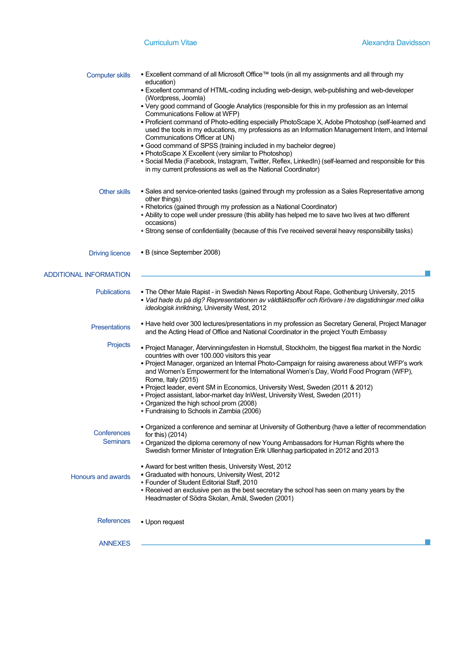| <b>Computer skills</b>         | ■ Excellent command of all Microsoft Office™ tools (in all my assignments and all through my<br>education)<br>. Excellent command of HTML-coding including web-design, web-publishing and web-developer<br>(Wordpress, Joomla)<br>• Very good command of Google Analytics (responsible for this in my profession as an Internal<br>Communications Fellow at WFP)<br>• Proficient command of Photo-editing especially PhotoScape X, Adobe Photoshop (self-learned and<br>used the tools in my educations, my professions as an Information Management Intern, and Internal<br>Communications Officer at UN)<br>• Good command of SPSS (training included in my bachelor degree)<br>• PhotoScape X Excellent (very similar to Photoshop)<br>- Social Media (Facebook, Instagram, Twitter, Reflex, LinkedIn) (self-learned and responsible for this<br>in my current professions as well as the National Coordinator) |
|--------------------------------|--------------------------------------------------------------------------------------------------------------------------------------------------------------------------------------------------------------------------------------------------------------------------------------------------------------------------------------------------------------------------------------------------------------------------------------------------------------------------------------------------------------------------------------------------------------------------------------------------------------------------------------------------------------------------------------------------------------------------------------------------------------------------------------------------------------------------------------------------------------------------------------------------------------------|
| <b>Other skills</b>            | • Sales and service-oriented tasks (gained through my profession as a Sales Representative among<br>other things)<br>- Rhetorics (gained through my profession as a National Coordinator)<br>- Ability to cope well under pressure (this ability has helped me to save two lives at two different<br>occasions)<br>. Strong sense of confidentiality (because of this I've received several heavy responsibility tasks)                                                                                                                                                                                                                                                                                                                                                                                                                                                                                            |
| <b>Driving licence</b>         | • B (since September 2008)                                                                                                                                                                                                                                                                                                                                                                                                                                                                                                                                                                                                                                                                                                                                                                                                                                                                                         |
| <b>ADDITIONAL INFORMATION</b>  |                                                                                                                                                                                                                                                                                                                                                                                                                                                                                                                                                                                                                                                                                                                                                                                                                                                                                                                    |
| <b>Publications</b>            | . The Other Male Rapist - in Swedish News Reporting About Rape, Gothenburg University, 2015<br>- Vad hade du på dig? Representationen av våldtäktsoffer och förövare i tre dagstidningar med olika<br>ideologisk inriktning, University West, 2012                                                                                                                                                                                                                                                                                                                                                                                                                                                                                                                                                                                                                                                                 |
| <b>Presentations</b>           | • Have held over 300 lectures/presentations in my profession as Secretary General, Project Manager<br>and the Acting Head of Office and National Coordinator in the project Youth Embassy                                                                                                                                                                                                                                                                                                                                                                                                                                                                                                                                                                                                                                                                                                                          |
| Projects                       | • Project Manager, Återvinningsfesten in Hornstull, Stockholm, the biggest flea market in the Nordic<br>countries with over 100.000 visitors this year<br>- Project Manager, organized an Internal Photo-Campaign for raising awareness about WFP's work<br>and Women's Empowerment for the International Women's Day, World Food Program (WFP),<br>Rome, Italy (2015)<br>Project leader, event SM in Economics, University West, Sweden (2011 & 2012)<br>- Project assistant, labor-market day InWest, University West, Sweden (2011)<br>. Organized the high school prom (2008)<br>- Fundraising to Schools in Zambia (2006)                                                                                                                                                                                                                                                                                     |
| Conferences<br><b>Seminars</b> | • Organized a conference and seminar at University of Gothenburg (have a letter of recommendation<br>for this) (2014)<br>- Organized the diploma ceremony of new Young Ambassadors for Human Rights where the<br>Swedish former Minister of Integration Erik Ullenhag participated in 2012 and 2013                                                                                                                                                                                                                                                                                                                                                                                                                                                                                                                                                                                                                |
| <b>Honours and awards</b>      | - Award for best written thesis, University West, 2012<br>Graduated with honours, University West, 2012<br>- Founder of Student Editorial Staff, 2010<br>- Received an exclusive pen as the best secretary the school has seen on many years by the<br>Headmaster of Södra Skolan, Åmål, Sweden (2001)                                                                                                                                                                                                                                                                                                                                                                                                                                                                                                                                                                                                             |
| References                     | • Upon request                                                                                                                                                                                                                                                                                                                                                                                                                                                                                                                                                                                                                                                                                                                                                                                                                                                                                                     |
| <b>ANNEXES</b>                 |                                                                                                                                                                                                                                                                                                                                                                                                                                                                                                                                                                                                                                                                                                                                                                                                                                                                                                                    |